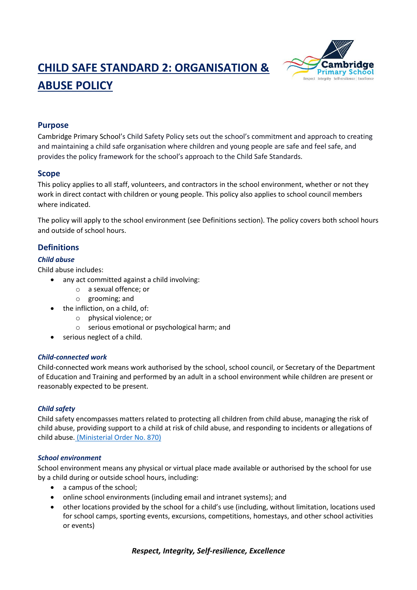# **CHILD SAFE STANDARD 2: ORGANISATION & ABUSE POLICY**



# **Purpose**

Cambridge Primary School's Child Safety Policy sets out the school's commitment and approach to creating and maintaining a child safe organisation where children and young people are safe and feel safe, and provides the policy framework for the school's approach to the Child Safe Standards.

# **Scope**

This policy applies to all staff, volunteers, and contractors in the school environment, whether or not they work in direct contact with children or young people. This policy also applies to school council members where indicated.

The policy will apply to the school environment (see Definitions section). The policy covers both school hours and outside of school hours.

# **Definitions**

# *Child abuse*

Child abuse includes:

- any act committed against a child involving:
	- o a sexual offence; or
	- o grooming; and
- the infliction, on a child, of:
	- o physical violence; or
	- o serious emotional or psychological harm; and
- serious neglect of a child.

### *Child-connected work*

Child-connected work means work authorised by the school, school council, or Secretary of the Department of Education and Training and performed by an adult in a school environment while children are present or reasonably expected to be present.

# *Child safety*

Child safety encompasses matters related to protecting all children from child abuse, managing the risk of child abuse, providing support to a child at risk of child abuse, and responding to incidents or allegations of child abuse. [\(Ministerial Order No. 870\)](http://www.gazette.vic.gov.au/gazette/Gazettes2016/GG2016S002.pdf)

### *School environment*

School environment means any physical or virtual place made available or authorised by the school for use by a child during or outside school hours, including:

- a campus of the school;
- online school environments (including email and intranet systems); and
- other locations provided by the school for a child's use (including, without limitation, locations used for school camps, sporting events, excursions, competitions, homestays, and other school activities or events)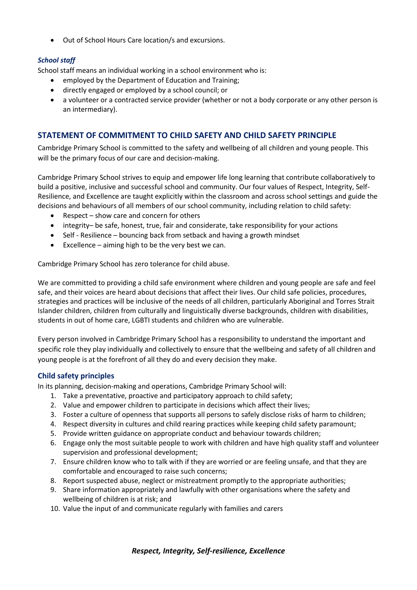Out of School Hours Care location/s and excursions.

# *School staff*

School staff means an individual working in a school environment who is:

- employed by the Department of Education and Training;
- directly engaged or employed by a school council; or
- a volunteer or a contracted service provider (whether or not a body corporate or any other person is an intermediary).

# **STATEMENT OF COMMITMENT TO CHILD SAFETY AND CHILD SAFETY PRINCIPLE**

Cambridge Primary School is committed to the safety and wellbeing of all children and young people. This will be the primary focus of our care and decision-making.

Cambridge Primary School strives to equip and empower life long learning that contribute collaboratively to build a positive, inclusive and successful school and community. Our four values of Respect, Integrity, Self-Resilience, and Excellence are taught explicitly within the classroom and across school settings and guide the decisions and behaviours of all members of our school community, including relation to child safety:

- Respect show care and concern for others
- integrity– be safe, honest, true, fair and considerate, take responsibility for your actions
- Self Resilience bouncing back from setback and having a growth mindset
- Excellence aiming high to be the very best we can.

Cambridge Primary School has zero tolerance for child abuse.

We are committed to providing a child safe environment where children and young people are safe and feel safe, and their voices are heard about decisions that affect their lives. Our child safe policies, procedures, strategies and practices will be inclusive of the needs of all children, particularly Aboriginal and Torres Strait Islander children, children from culturally and linguistically diverse backgrounds, children with disabilities, students in out of home care, LGBTI students and children who are vulnerable.

Every person involved in Cambridge Primary School has a responsibility to understand the important and specific role they play individually and collectively to ensure that the wellbeing and safety of all children and young people is at the forefront of all they do and every decision they make.

### **Child safety principles**

In its planning, decision-making and operations, Cambridge Primary School will:

- 1. Take a preventative, proactive and participatory approach to child safety;
- 2. Value and empower children to participate in decisions which affect their lives;
- 3. Foster a culture of openness that supports all persons to safely disclose risks of harm to children;
- 4. Respect diversity in cultures and child rearing practices while keeping child safety paramount;
- 5. Provide written guidance on appropriate conduct and behaviour towards children;
- 6. Engage only the most suitable people to work with children and have high quality staff and volunteer supervision and professional development;
- 7. Ensure children know who to talk with if they are worried or are feeling unsafe, and that they are comfortable and encouraged to raise such concerns;
- 8. Report suspected abuse, neglect or mistreatment promptly to the appropriate authorities;
- 9. Share information appropriately and lawfully with other organisations where the safety and wellbeing of children is at risk; and
- 10. Value the input of and communicate regularly with families and carers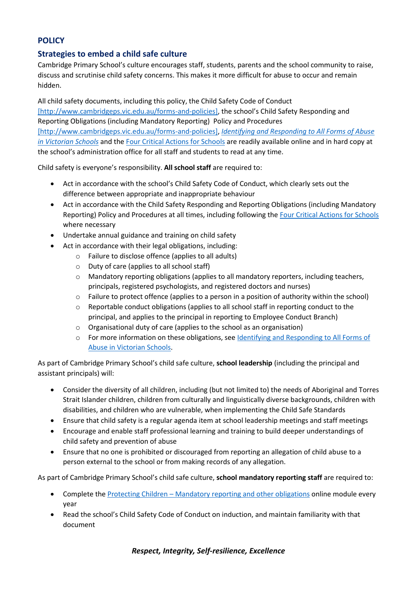# **POLICY**

# **Strategies to embed a child safe culture**

Cambridge Primary School's culture encourages staff, students, parents and the school community to raise, discuss and scrutinise child safety concerns. This makes it more difficult for abuse to occur and remain hidden.

All child safety documents, including this policy, the Child Safety Code of Conduct [\[http://www.cambridgeps.vic.edu.au/forms-and-policies\]](https://www.education.vic.gov.au/Documents/about/programs/health/protect/%5bhttp:/www.cambridgeps.vic.edu.au/forms-and-policies%5d), the school's Child Safety Responding and Reporting Obligations (including Mandatory Reporting) Policy and Procedures [\[http://www.cambridgeps.vic.edu.au/forms-and-policies\],](https://www.education.vic.gov.au/Documents/about/programs/health/protect/%5bhttp:/www.cambridgeps.vic.edu.au/forms-and-policies%5d) *[Identifying and Responding to All Forms of Abuse](https://www.education.vic.gov.au/Documents/about/programs/health/protect/ChildSafeStandard5_SchoolsGuide.pdf)  [in Victorian Schools](https://www.education.vic.gov.au/Documents/about/programs/health/protect/ChildSafeStandard5_SchoolsGuide.pdf)* and the [Four Critical Actions for Schools](https://www.education.vic.gov.au/Documents/about/programs/health/protect/FourCriticalActions_ChildAbuse.pdf) are readily available online and in hard copy at the school's administration office for all staff and students to read at any time.

Child safety is everyone's responsibility. **All school staff** are required to:

- Act in accordance with the school's Child Safety Code of Conduct, which clearly sets out the difference between appropriate and inappropriate behaviour
- Act in accordance with the Child Safety Responding and Reporting Obligations (including Mandatory Reporting) Policy and Procedures at all times, including following th[e Four Critical Actions for Schools](https://www.education.vic.gov.au/Documents/about/programs/health/protect/FourCriticalActions_ChildAbuse.pdf) where necessary
- Undertake annual guidance and training on child safety
- Act in accordance with their legal obligations, including:
	- o Failure to disclose offence (applies to all adults)
	- o Duty of care (applies to all school staff)
	- o Mandatory reporting obligations (applies to all mandatory reporters, including teachers, principals, registered psychologists, and registered doctors and nurses)
	- $\circ$  Failure to protect offence (applies to a person in a position of authority within the school)
	- o Reportable conduct obligations (applies to all school staff in reporting conduct to the principal, and applies to the principal in reporting to Employee Conduct Branch)
	- o Organisational duty of care (applies to the school as an organisation)
	- o For more information on these obligations, see [Identifying and Responding to All Forms of](https://www.education.vic.gov.au/Documents/about/programs/health/protect/ChildSafeStandard5_SchoolsGuide.pdf)  [Abuse in Victorian Schools.](https://www.education.vic.gov.au/Documents/about/programs/health/protect/ChildSafeStandard5_SchoolsGuide.pdf)

As part of Cambridge Primary School's child safe culture, **school leadership** (including the principal and assistant principals) will:

- Consider the diversity of all children, including (but not limited to) the needs of Aboriginal and Torres Strait Islander children, children from culturally and linguistically diverse backgrounds, children with disabilities, and children who are vulnerable, when implementing the Child Safe Standards
- Ensure that child safety is a regular agenda item at school leadership meetings and staff meetings
- Encourage and enable staff professional learning and training to build deeper understandings of child safety and prevention of abuse
- Ensure that no one is prohibited or discouraged from reporting an allegation of child abuse to a person external to the school or from making records of any allegation.

As part of Cambridge Primary School's child safe culture, **school mandatory reporting staff** are required to:

- Complete the Protecting Children [Mandatory reporting and other obligations](http://elearn.com.au/det/protectingchildren/) online module every year
- Read the school's Child Safety Code of Conduct on induction, and maintain familiarity with that document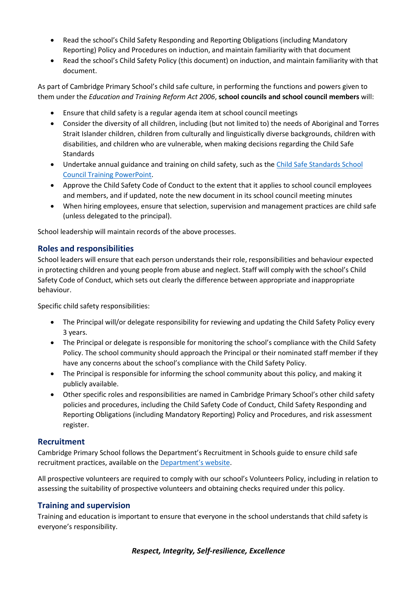- Read the school's Child Safety Responding and Reporting Obligations (including Mandatory Reporting) Policy and Procedures on induction, and maintain familiarity with that document
- Read the school's Child Safety Policy (this document) on induction, and maintain familiarity with that document.

As part of Cambridge Primary School's child safe culture, in performing the functions and powers given to them under the *Education and Training Reform Act 2006*, **school councils and school council members** will:

- Ensure that child safety is a regular agenda item at school council meetings
- Consider the diversity of all children, including (but not limited to) the needs of Aboriginal and Torres Strait Islander children, children from culturally and linguistically diverse backgrounds, children with disabilities, and children who are vulnerable, when making decisions regarding the Child Safe Standards
- Undertake annual guidance and training on child safety, such as th[e Child Safe Standards School](https://www.education.vic.gov.au/Documents/about/programs/health/protect/school-council-training.pptx)  [Council Training](https://www.education.vic.gov.au/Documents/about/programs/health/protect/school-council-training.pptx) PowerPoint.
- Approve the Child Safety Code of Conduct to the extent that it applies to school council employees and members, and if updated, note the new document in its school council meeting minutes
- When hiring employees, ensure that selection, supervision and management practices are child safe (unless delegated to the principal).

School leadership will maintain records of the above processes.

# **Roles and responsibilities**

School leaders will ensure that each person understands their role, responsibilities and behaviour expected in protecting children and young people from abuse and neglect. Staff will comply with the school's Child Safety Code of Conduct, which sets out clearly the difference between appropriate and inappropriate behaviour.

Specific child safety responsibilities:

- The Principal will/or delegate responsibility for reviewing and updating the Child Safety Policy every 3 years.
- The Principal or delegate is responsible for monitoring the school's compliance with the Child Safety Policy. The school community should approach the Principal or their nominated staff member if they have any concerns about the school's compliance with the Child Safety Policy.
- The Principal is responsible for informing the school community about this policy, and making it publicly available.
- Other specific roles and responsibilities are named in Cambridge Primary School's other child safety policies and procedures, including the Child Safety Code of Conduct, Child Safety Responding and Reporting Obligations (including Mandatory Reporting) Policy and Procedures, and risk assessment register.

### **Recruitment**

Cambridge Primary School follows the Department's Recruitment in Schools guide to ensure child safe recruitment practices, available on the [Department'](https://www.education.vic.gov.au/hrweb/careers/Pages/recruitinsch.aspx)s website.

All prospective volunteers are required to comply with our school's Volunteers Policy, including in relation to assessing the suitability of prospective volunteers and obtaining checks required under this policy.

### **Training and supervision**

Training and education is important to ensure that everyone in the school understands that child safety is everyone's responsibility.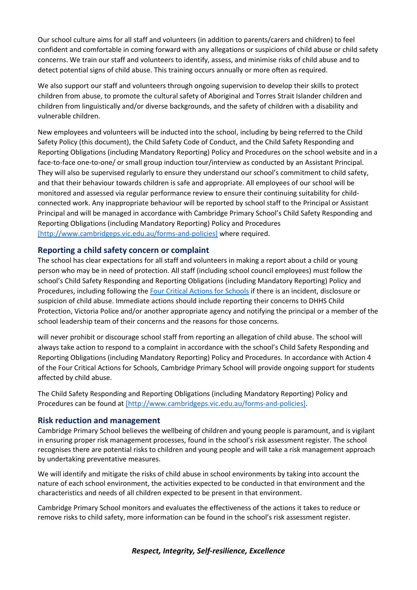Our school culture aims for all staff and volunteers (in addition to parents/carers and children) to feel confident and comfortable in coming forward with any allegations or suspicions of child abuse or child safety concerns. We train our staff and volunteers to identify, assess, and minimise risks of child abuse and to detect potential signs of child abuse. This training occurs annually or more often as required.

We also support our staff and volunteers through ongoing supervision to develop their skills to protect children from abuse, to promote the cultural safety of Aboriginal and Torres Strait Islander children and children from linguistically and/or diverse backgrounds, and the safety of children with a disability and vulnerable children.

New employees and volunteers will be inducted into the school, including by being referred to the Child Safety Policy (this document), the Child Safety Code of Conduct, and the Child Safety Responding and Reporting Obligations (including Mandatory Reporting) Policy and Procedures on the school website and in a face-to-face one-to-one/ or small group induction tour/interview as conducted by an Assistant Principal. They will also be supervised regularly to ensure they understand our school's commitment to child safety, and that their behaviour towards children is safe and appropriate. All employees of our school will be monitored and assessed via regular performance review to ensure their continuing suitability for childconnected work. Any inappropriate behaviour will be reported by school staff to the Principal or Assistant Principal and will be managed in accordance with Cambridge Primary School's Child Safety Responding and Reporting Obligations (including Mandatory Reporting) Policy and Procedures [\[http://www.cambridgeps.vic.edu.au/forms-and-policies\]](https://www.education.vic.gov.au/Documents/about/programs/health/protect/%5bhttp:/www.cambridgeps.vic.edu.au/forms-and-policies%5d) where required.

# **Reporting a child safety concern or complaint**

The school has clear expectations for all staff and volunteers in making a report about a child or young person who may be in need of protection. All staff (including school council employees) must follow the school's Child Safety Responding and Reporting Obligations (including Mandatory Reporting) Policy and Procedures, including following the [Four Critical Actions for Schools](https://www.education.vic.gov.au/Documents/about/programs/health/protect/FourCriticalActions_ChildAbuse.pdf) if there is an incident, disclosure or suspicion of child abuse. Immediate actions should include reporting their concerns to DHHS Child Protection, Victoria Police and/or another appropriate agency and notifying the principal or a member of the school leadership team of their concerns and the reasons for those concerns.

will never prohibit or discourage school staff from reporting an allegation of child abuse. The school will always take action to respond to a complaint in accordance with the school's Child Safety Responding and Reporting Obligations (including Mandatory Reporting) Policy and Procedures. In accordance with Action 4 of the Four Critical Actions for Schools, Cambridge Primary School will provide ongoing support for students affected by child abuse.

The Child Safety Responding and Reporting Obligations (including Mandatory Reporting) Policy and Procedures can be found at [\[http://www.cambridgeps.vic.edu.au/forms-and-policies\].](https://www.education.vic.gov.au/Documents/about/programs/health/protect/%5bhttp:/www.cambridgeps.vic.edu.au/forms-and-policies%5d)

### **Risk reduction and management**

Cambridge Primary School believes the wellbeing of children and young people is paramount, and is vigilant in ensuring proper risk management processes, found in the school's risk assessment register. The school recognises there are potential risks to children and young people and will take a risk management approach by undertaking preventative measures.

We will identify and mitigate the risks of child abuse in school environments by taking into account the nature of each school environment, the activities expected to be conducted in that environment and the characteristics and needs of all children expected to be present in that environment.

Cambridge Primary School monitors and evaluates the effectiveness of the actions it takes to reduce or remove risks to child safety, more information can be found in the school's risk assessment register.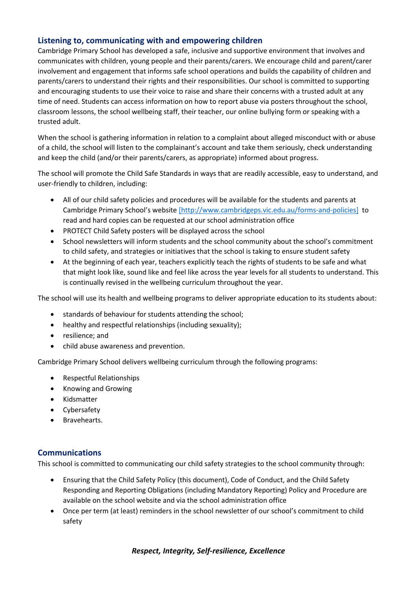# **Listening to, communicating with and empowering children**

Cambridge Primary School has developed a safe, inclusive and supportive environment that involves and communicates with children, young people and their parents/carers. We encourage child and parent/carer involvement and engagement that informs safe school operations and builds the capability of children and parents/carers to understand their rights and their responsibilities. Our school is committed to supporting and encouraging students to use their voice to raise and share their concerns with a trusted adult at any time of need. Students can access information on how to report abuse via posters throughout the school, classroom lessons, the school wellbeing staff, their teacher, our online bullying form or speaking with a trusted adult.

When the school is gathering information in relation to a complaint about alleged misconduct with or abuse of a child, the school will listen to the complainant's account and take them seriously, check understanding and keep the child (and/or their parents/carers, as appropriate) informed about progress.

The school will promote the Child Safe Standards in ways that are readily accessible, easy to understand, and user-friendly to children, including:

- All of our child safety policies and procedures will be available for the students and parents at Cambridge Primary School's website [\[http://www.cambridgeps.vic.edu.au/forms-and-policies\]](https://www.education.vic.gov.au/Documents/about/programs/health/protect/%5bhttp:/www.cambridgeps.vic.edu.au/forms-and-policies%5d) to read and hard copies can be requested at our school administration office
- PROTECT Child Safety posters will be displayed across the school
- School newsletters will inform students and the school community about the school's commitment to child safety, and strategies or initiatives that the school is taking to ensure student safety
- At the beginning of each year, teachers explicitly teach the rights of students to be safe and what that might look like, sound like and feel like across the year levels for all students to understand. This is continually revised in the wellbeing curriculum throughout the year.

The school will use its health and wellbeing programs to deliver appropriate education to its students about:

- standards of behaviour for students attending the school;
- healthy and respectful relationships (including sexuality);
- resilience: and
- child abuse awareness and prevention.

Cambridge Primary School delivers wellbeing curriculum through the following programs:

- Respectful Relationships
- Knowing and Growing
- Kidsmatter
- Cybersafety
- Bravehearts.

### **Communications**

This school is committed to communicating our child safety strategies to the school community through:

- Ensuring that the Child Safety Policy (this document), Code of Conduct, and the Child Safety Responding and Reporting Obligations (including Mandatory Reporting) Policy and Procedure are available on the school website and via the school administration office
- Once per term (at least) reminders in the school newsletter of our school's commitment to child safety